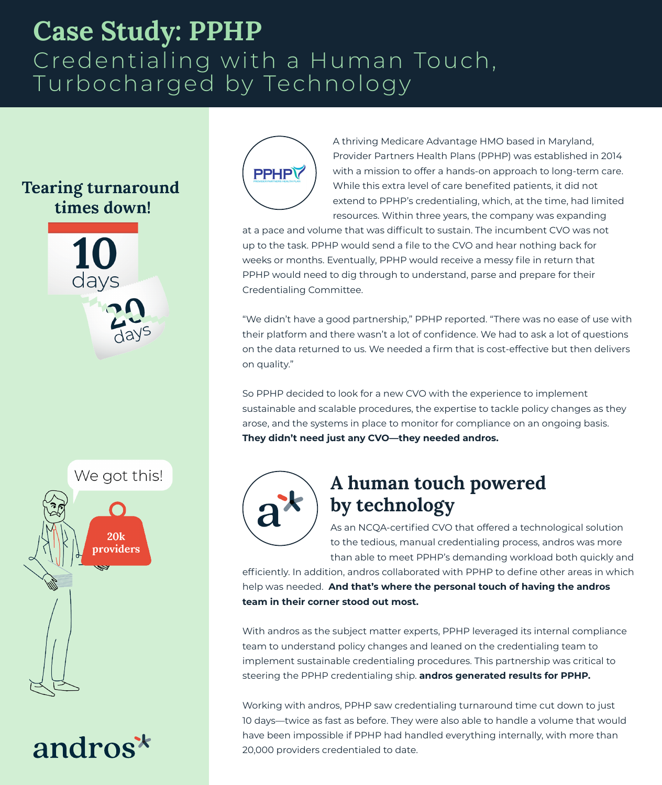## **Case Study: PPHP** Credentialing with a Human Touch, Turbocharged by Technology

#### **Tearing turnaround** times down!





# andros<sup>\*</sup>



A thriving Medicare Advantage HMO based in Maryland, Provider Partners Health Plans (PPHP) was established in 2014 with a mission to offer a hands-on approach to long-term care. While this extra level of care benefited patients, it did not extend to PPHP's credentialing, which, at the time, had limited resources. Within three years, the company was expanding

at a pace and volume that was difficult to sustain. The incumbent CVO was not up to the task. PPHP would send a file to the CVO and hear nothing back for weeks or months. Eventually, PPHP would receive a messy file in return that PPHP would need to dig through to understand, parse and prepare for their Credentialing Committee.

"We didn't have a good partnership," PPHP reported. "There was no ease of use with their platform and there wasn't a lot of confidence. We had to ask a lot of questions on the data returned to us. We needed a firm that is cost-effective but then delivers on quality."

So PPHP decided to look for a new CVO with the experience to implement sustainable and scalable procedures, the expertise to tackle policy changes as they arose, and the systems in place to monitor for compliance on an ongoing basis. **They didn't need just any CVO—they needed andros.**



### **A human touch powered by technology**

As an NCQA-certified CVO that offered a technological solution to the tedious, manual credentialing process, andros was more than able to meet PPHP's demanding workload both quickly and

efficiently. In addition, andros collaborated with PPHP to define other areas in which help was needed. **And that's where the personal touch of having the andros team in their corner stood out most.**

With andros as the subject matter experts, PPHP leveraged its internal compliance team to understand policy changes and leaned on the credentialing team to implement sustainable credentialing procedures. This partnership was critical to steering the PPHP credentialing ship. **andros generated results for PPHP.** 

Working with andros, PPHP saw credentialing turnaround time cut down to just 10 days—twice as fast as before. They were also able to handle a volume that would have been impossible if PPHP had handled everything internally, with more than 20,000 providers credentialed to date.